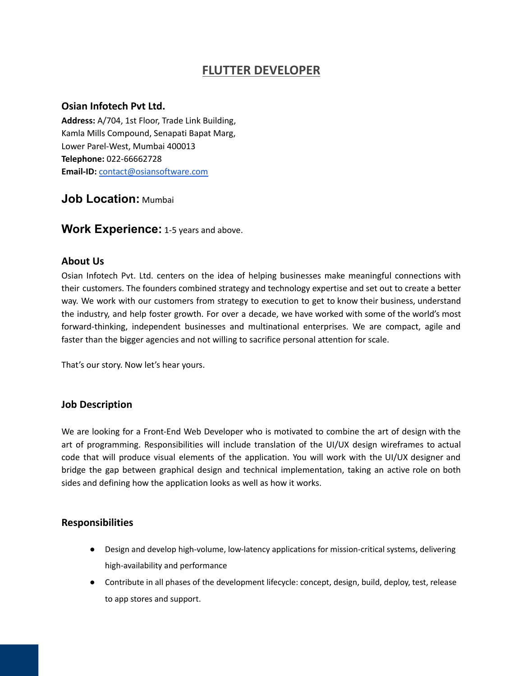# **FLUTTER DEVELOPER**

#### **Osian Infotech Pvt Ltd.**

**Address:** A/704, 1st Floor, Trade Link Building, Kamla Mills Compound, Senapati Bapat Marg, Lower Parel-West, Mumbai 400013 **Telephone:** 022-66662728 **Email-ID:** [contact@osiansoftware.com](mailto:contact@osiansoftware.com)

# **Job Location:** Mumbai

**Work Experience:** 1-5 years and above.

## **About Us**

Osian Infotech Pvt. Ltd. centers on the idea of helping businesses make meaningful connections with their customers. The founders combined strategy and technology expertise and set out to create a better way. We work with our customers from strategy to execution to get to know their business, understand the industry, and help foster growth. For over a decade, we have worked with some of the world's most forward-thinking, independent businesses and multinational enterprises. We are compact, agile and faster than the bigger agencies and not willing to sacrifice personal attention for scale.

That's our story. Now let's hear yours.

## **Job Description**

We are looking for a Front-End Web Developer who is motivated to combine the art of design with the art of programming. Responsibilities will include translation of the UI/UX design wireframes to actual code that will produce visual elements of the application. You will work with the UI/UX designer and bridge the gap between graphical design and technical implementation, taking an active role on both sides and defining how the application looks as well as how it works.

#### **Responsibilities**

- Design and develop high-volume, low-latency applications for mission-critical systems, delivering high-availability and performance
- Contribute in all phases of the development lifecycle: concept, design, build, deploy, test, release to app stores and support.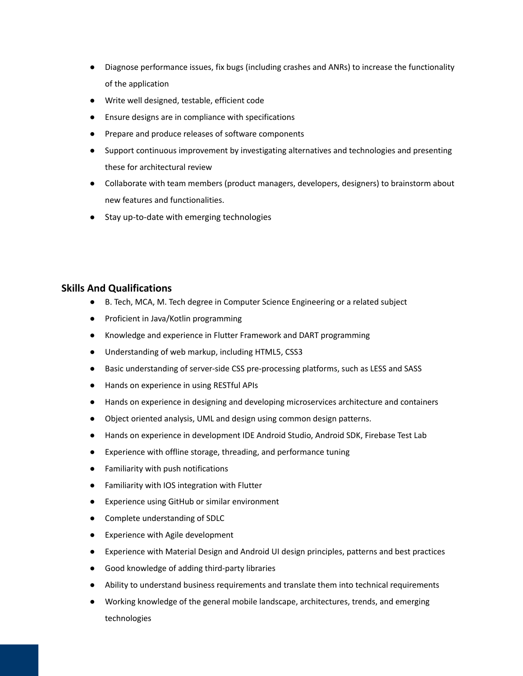- Diagnose performance issues, fix bugs (including crashes and ANRs) to increase the functionality of the application
- Write well designed, testable, efficient code
- Ensure designs are in compliance with specifications
- Prepare and produce releases of software components
- Support continuous improvement by investigating alternatives and technologies and presenting these for architectural review
- Collaborate with team members (product managers, developers, designers) to brainstorm about new features and functionalities.
- Stay up-to-date with emerging technologies

## **Skills And Qualifications**

- B. Tech, MCA, M. Tech degree in Computer Science Engineering or a related subject
- Proficient in Java/Kotlin programming
- Knowledge and experience in Flutter Framework and DART programming
- Understanding of web markup, including HTML5, CSS3
- Basic understanding of server-side CSS pre-processing platforms, such as LESS and SASS
- Hands on experience in using RESTful APIs
- Hands on experience in designing and developing microservices architecture and containers
- Object oriented analysis, UML and design using common design patterns.
- Hands on experience in development IDE Android Studio, Android SDK, Firebase Test Lab
- Experience with offline storage, threading, and performance tuning
- Familiarity with push notifications
- Familiarity with IOS integration with Flutter
- Experience using GitHub or similar environment
- Complete understanding of SDLC
- Experience with Agile development
- Experience with Material Design and Android UI design principles, patterns and best practices
- Good knowledge of adding third-party libraries
- Ability to understand business requirements and translate them into technical requirements
- Working knowledge of the general mobile landscape, architectures, trends, and emerging technologies